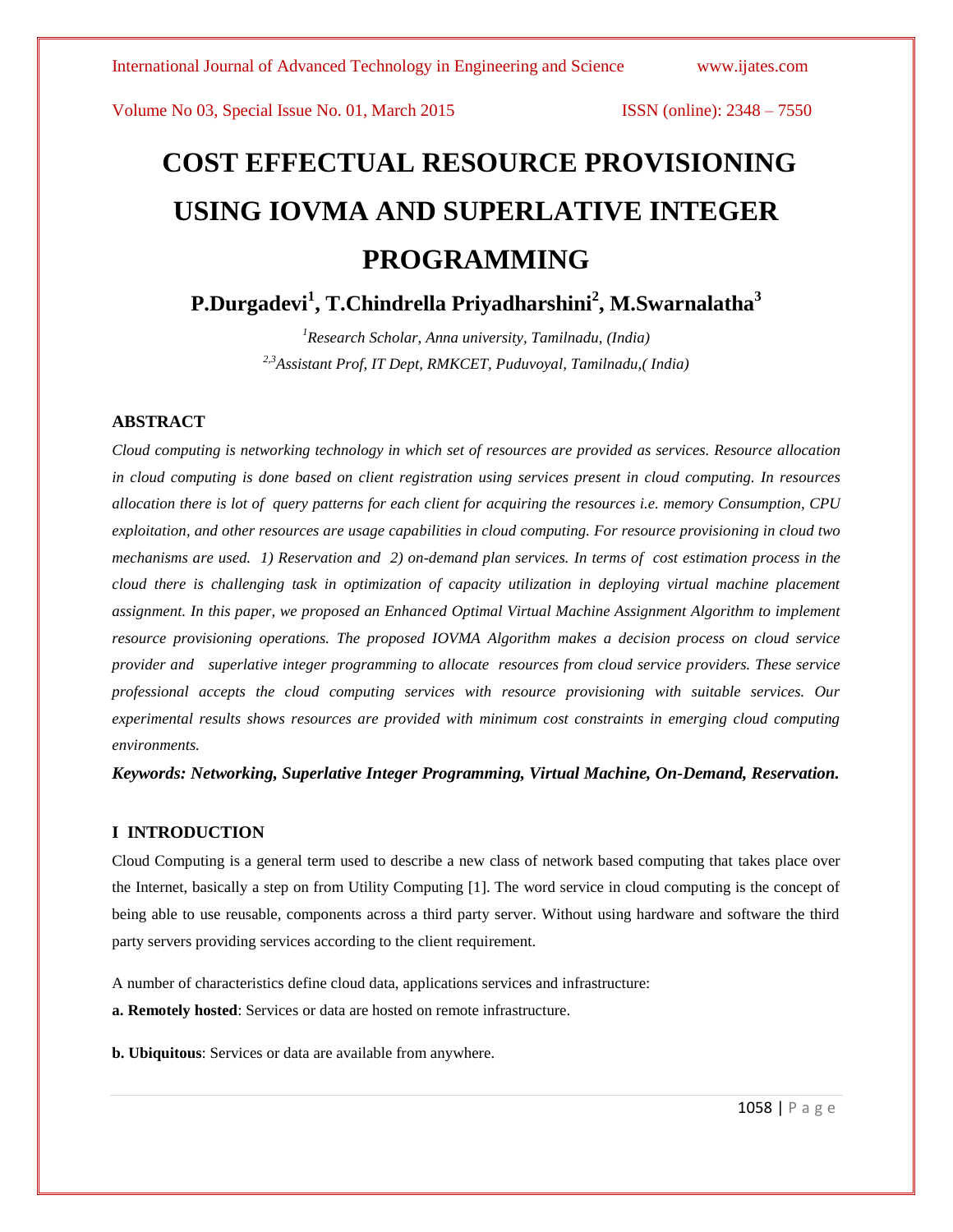# **COST EFFECTUAL RESOURCE PROVISIONING USING IOVMA AND SUPERLATIVE INTEGER PROGRAMMING**

**P.Durgadevi<sup>1</sup> , T.Chindrella Priyadharshini<sup>2</sup> , M.Swarnalatha<sup>3</sup>**

*<sup>1</sup>Research Scholar, Anna university, Tamilnadu, (India) 2,3Assistant Prof, IT Dept, RMKCET, Puduvoyal, Tamilnadu,( India)*

# **ABSTRACT**

*Cloud computing is networking technology in which set of resources are provided as services. Resource allocation in cloud computing is done based on client registration using services present in cloud computing. In resources allocation there is lot of query patterns for each client for acquiring the resources i.e. memory Consumption, CPU exploitation, and other resources are usage capabilities in cloud computing. For resource provisioning in cloud two mechanisms are used. 1) Reservation and 2) on-demand plan services. In terms of cost estimation process in the cloud there is challenging task in optimization of capacity utilization in deploying virtual machine placement assignment. In this paper, we proposed an Enhanced Optimal Virtual Machine Assignment Algorithm to implement resource provisioning operations. The proposed IOVMA Algorithm makes a decision process on cloud service provider and superlative integer programming to allocate resources from cloud service providers. These service professional accepts the cloud computing services with resource provisioning with suitable services. Our experimental results shows resources are provided with minimum cost constraints in emerging cloud computing environments.*

*Keywords: Networking, Superlative Integer Programming, Virtual Machine, On-Demand, Reservation.*

# **I INTRODUCTION**

Cloud Computing is a general term used to describe a new class of network based computing that takes place over the Internet, basically a step on from Utility Computing [1]. The word service in cloud computing is the concept of being able to use reusable, components across a third party server. Without using hardware and software the third party servers providing services according to the client requirement.

A number of characteristics define cloud data, applications services and infrastructure:

**a. Remotely hosted**: Services or data are hosted on remote infrastructure.

**b. Ubiquitous**: Services or data are available from anywhere.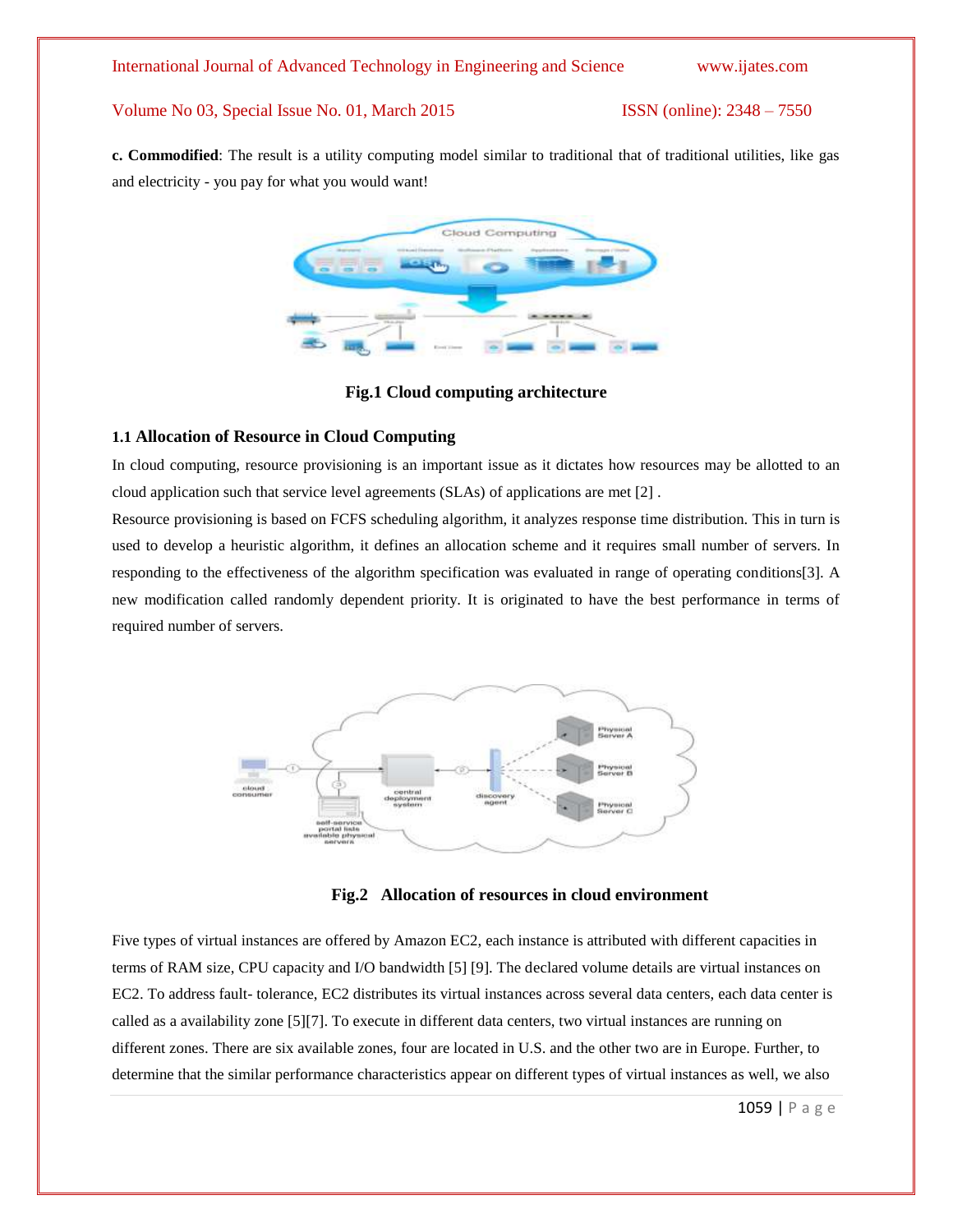**c. Commodified**: The result is a utility computing model similar to traditional that of traditional utilities, like gas and electricity - you pay for what you would want!



# **Fig.1 Cloud computing architecture**

# **1.1 Allocation of Resource in Cloud Computing**

In cloud computing, resource provisioning is an important issue as it dictates how resources may be allotted to an cloud application such that service level agreements (SLAs) of applications are met [2] .

Resource provisioning is based on FCFS scheduling algorithm, it analyzes response time distribution. This in turn is used to develop a heuristic algorithm, it defines an allocation scheme and it requires small number of servers. In responding to the effectiveness of the algorithm specification was evaluated in range of operating conditions[3]. A new modification called randomly dependent priority. It is originated to have the best performance in terms of required number of servers.



**Fig.2 Allocation of resources in cloud environment**

Five types of virtual instances are offered by Amazon EC2, each instance is attributed with different capacities in terms of RAM size, CPU capacity and I/O bandwidth [5] [9]. The declared volume details are virtual instances on EC2. To address fault- tolerance, EC2 distributes its virtual instances across several data centers, each data center is called as a availability zone [5][7]. To execute in different data centers, two virtual instances are running on different zones. There are six available zones, four are located in U.S. and the other two are in Europe. Further, to determine that the similar performance characteristics appear on different types of virtual instances as well, we also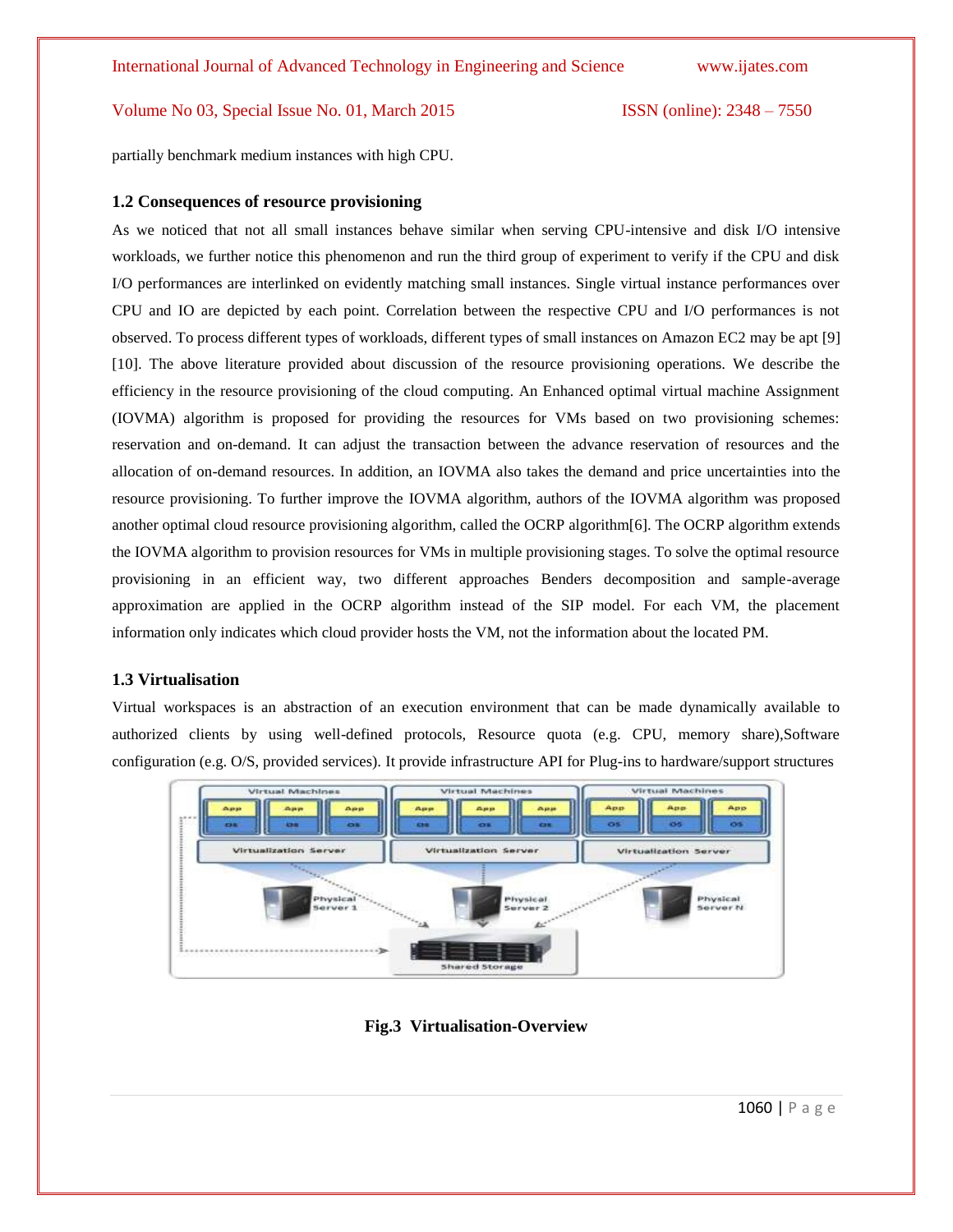partially benchmark medium instances with high CPU.

# **1.2 Consequences of resource provisioning**

As we noticed that not all small instances behave similar when serving CPU-intensive and disk I/O intensive workloads, we further notice this phenomenon and run the third group of experiment to verify if the CPU and disk I/O performances are interlinked on evidently matching small instances. Single virtual instance performances over CPU and IO are depicted by each point. Correlation between the respective CPU and I/O performances is not observed. To process different types of workloads, different types of small instances on Amazon EC2 may be apt [9] [10]. The above literature provided about discussion of the resource provisioning operations. We describe the efficiency in the resource provisioning of the cloud computing. An Enhanced optimal virtual machine Assignment (IOVMA) algorithm is proposed for providing the resources for VMs based on two provisioning schemes: reservation and on-demand. It can adjust the transaction between the advance reservation of resources and the allocation of on-demand resources. In addition, an IOVMA also takes the demand and price uncertainties into the resource provisioning. To further improve the IOVMA algorithm, authors of the IOVMA algorithm was proposed another optimal cloud resource provisioning algorithm, called the OCRP algorithm[6]. The OCRP algorithm extends the IOVMA algorithm to provision resources for VMs in multiple provisioning stages. To solve the optimal resource provisioning in an efficient way, two different approaches Benders decomposition and sample-average approximation are applied in the OCRP algorithm instead of the SIP model. For each VM, the placement information only indicates which cloud provider hosts the VM, not the information about the located PM.

# **1.3 Virtualisation**

Virtual workspaces is an abstraction of an execution environment that can be made dynamically available to authorized clients by using well-defined protocols, Resource quota (e.g. CPU, memory share),Software configuration (e.g. O/S, provided services). It provide infrastructure API for Plug-ins to hardware/support structures



**Fig.3 Virtualisation-Overview**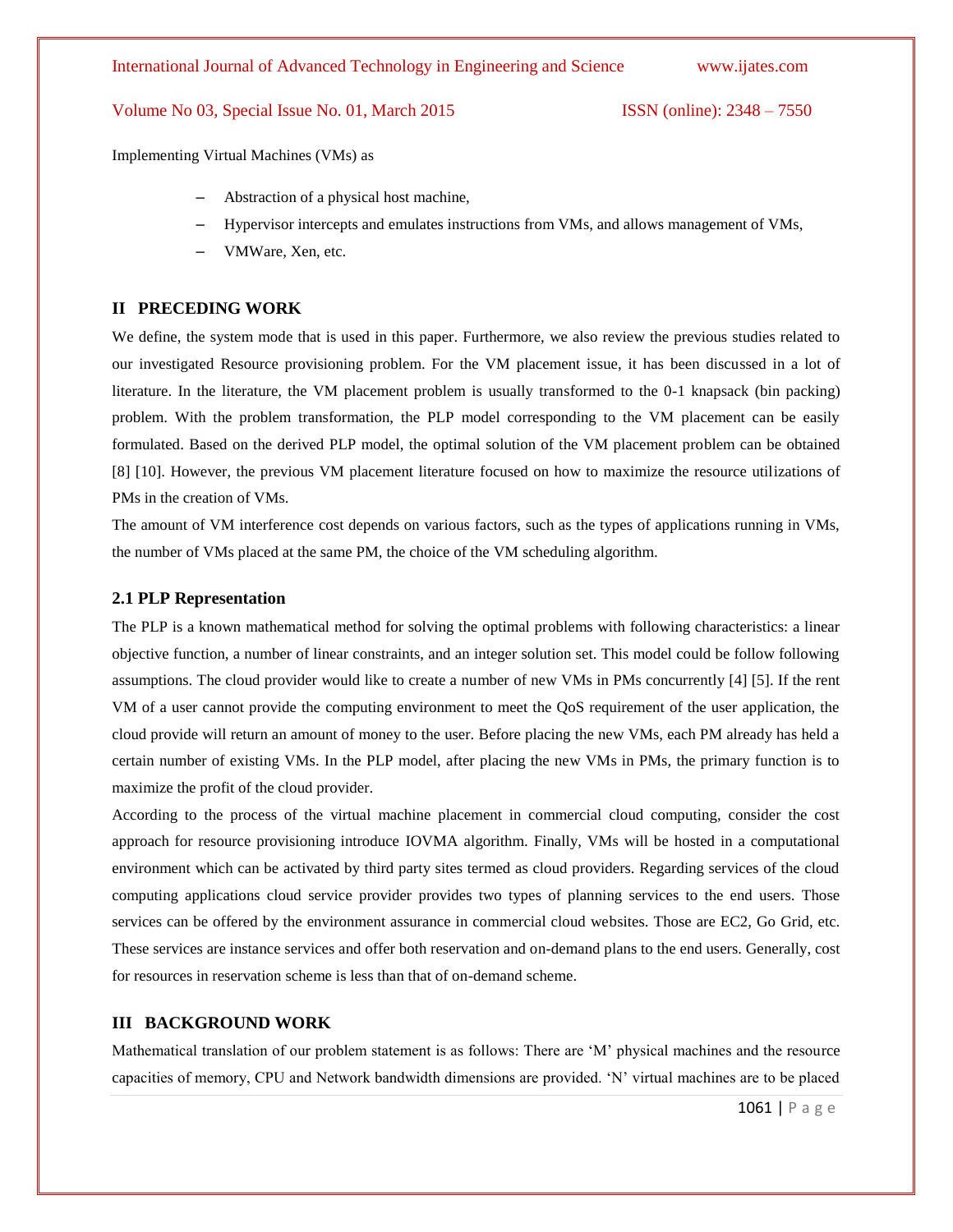Implementing Virtual Machines (VMs) as

- Abstraction of a physical host machine,
- Hypervisor intercepts and emulates instructions from VMs, and allows management of VMs,
- VMWare, Xen, etc.

### **II PRECEDING WORK**

We define, the system mode that is used in this paper. Furthermore, we also review the previous studies related to our investigated Resource provisioning problem. For the VM placement issue, it has been discussed in a lot of literature. In the literature, the VM placement problem is usually transformed to the 0-1 knapsack (bin packing) problem. With the problem transformation, the PLP model corresponding to the VM placement can be easily formulated. Based on the derived PLP model, the optimal solution of the VM placement problem can be obtained [8] [10]. However, the previous VM placement literature focused on how to maximize the resource utilizations of PMs in the creation of VMs.

The amount of VM interference cost depends on various factors, such as the types of applications running in VMs, the number of VMs placed at the same PM, the choice of the VM scheduling algorithm.

### **2.1 PLP Representation**

The PLP is a known mathematical method for solving the optimal problems with following characteristics: a linear objective function, a number of linear constraints, and an integer solution set. This model could be follow following assumptions. The cloud provider would like to create a number of new VMs in PMs concurrently [4] [5]. If the rent VM of a user cannot provide the computing environment to meet the QoS requirement of the user application, the cloud provide will return an amount of money to the user. Before placing the new VMs, each PM already has held a certain number of existing VMs. In the PLP model, after placing the new VMs in PMs, the primary function is to maximize the profit of the cloud provider.

According to the process of the virtual machine placement in commercial cloud computing, consider the cost approach for resource provisioning introduce IOVMA algorithm. Finally, VMs will be hosted in a computational environment which can be activated by third party sites termed as cloud providers. Regarding services of the cloud computing applications cloud service provider provides two types of planning services to the end users. Those services can be offered by the environment assurance in commercial cloud websites. Those are EC2, Go Grid, etc. These services are instance services and offer both reservation and on-demand plans to the end users. Generally, cost for resources in reservation scheme is less than that of on-demand scheme.

### **III BACKGROUND WORK**

Mathematical translation of our problem statement is as follows: There are "M" physical machines and the resource capacities of memory, CPU and Network bandwidth dimensions are provided. "N" virtual machines are to be placed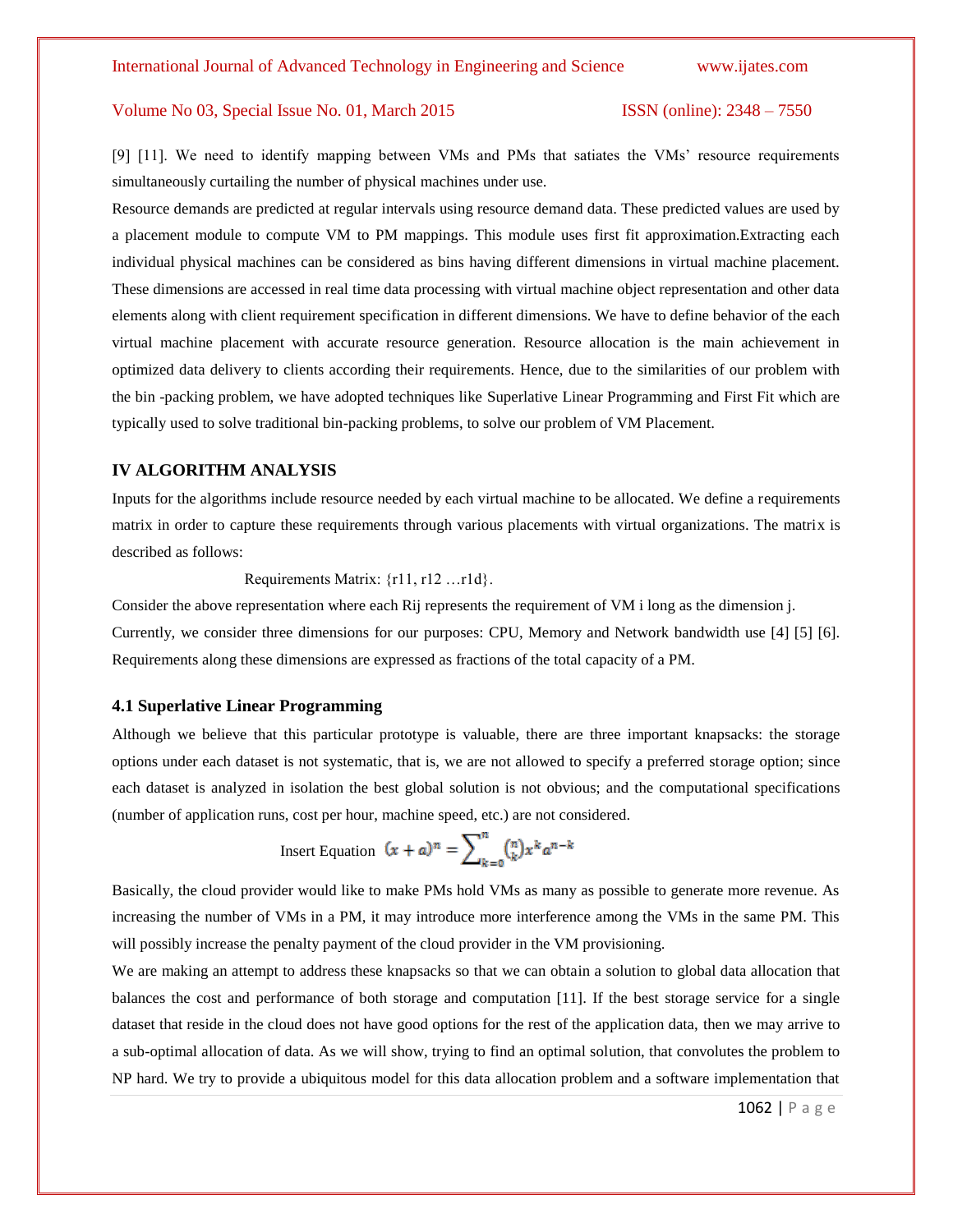[9] [11]. We need to identify mapping between VMs and PMs that satiates the VMs' resource requirements simultaneously curtailing the number of physical machines under use.

Resource demands are predicted at regular intervals using resource demand data. These predicted values are used by a placement module to compute VM to PM mappings. This module uses first fit approximation.Extracting each individual physical machines can be considered as bins having different dimensions in virtual machine placement. These dimensions are accessed in real time data processing with virtual machine object representation and other data elements along with client requirement specification in different dimensions. We have to define behavior of the each virtual machine placement with accurate resource generation. Resource allocation is the main achievement in optimized data delivery to clients according their requirements. Hence, due to the similarities of our problem with the bin -packing problem, we have adopted techniques like Superlative Linear Programming and First Fit which are typically used to solve traditional bin-packing problems, to solve our problem of VM Placement.

### **IV ALGORITHM ANALYSIS**

Inputs for the algorithms include resource needed by each virtual machine to be allocated. We define a requirements matrix in order to capture these requirements through various placements with virtual organizations. The matrix is described as follows:

Requirements Matrix: {r11, r12 …r1d}.

Consider the above representation where each Rij represents the requirement of VM i long as the dimension j. Currently, we consider three dimensions for our purposes: CPU, Memory and Network bandwidth use [4] [5] [6]. Requirements along these dimensions are expressed as fractions of the total capacity of a PM.

#### **4.1 Superlative Linear Programming**

Although we believe that this particular prototype is valuable, there are three important knapsacks: the storage options under each dataset is not systematic, that is, we are not allowed to specify a preferred storage option; since each dataset is analyzed in isolation the best global solution is not obvious; and the computational specifications (number of application runs, cost per hour, machine speed, etc.) are not considered.

Insert Equation 
$$
(x + a)^n = \sum_{k=0}^n {n \choose k} x^k a^{n-k}
$$

Basically, the cloud provider would like to make PMs hold VMs as many as possible to generate more revenue. As increasing the number of VMs in a PM, it may introduce more interference among the VMs in the same PM. This will possibly increase the penalty payment of the cloud provider in the VM provisioning.

We are making an attempt to address these knapsacks so that we can obtain a solution to global data allocation that balances the cost and performance of both storage and computation [11]. If the best storage service for a single dataset that reside in the cloud does not have good options for the rest of the application data, then we may arrive to a sub-optimal allocation of data. As we will show, trying to find an optimal solution, that convolutes the problem to NP hard. We try to provide a ubiquitous model for this data allocation problem and a software implementation that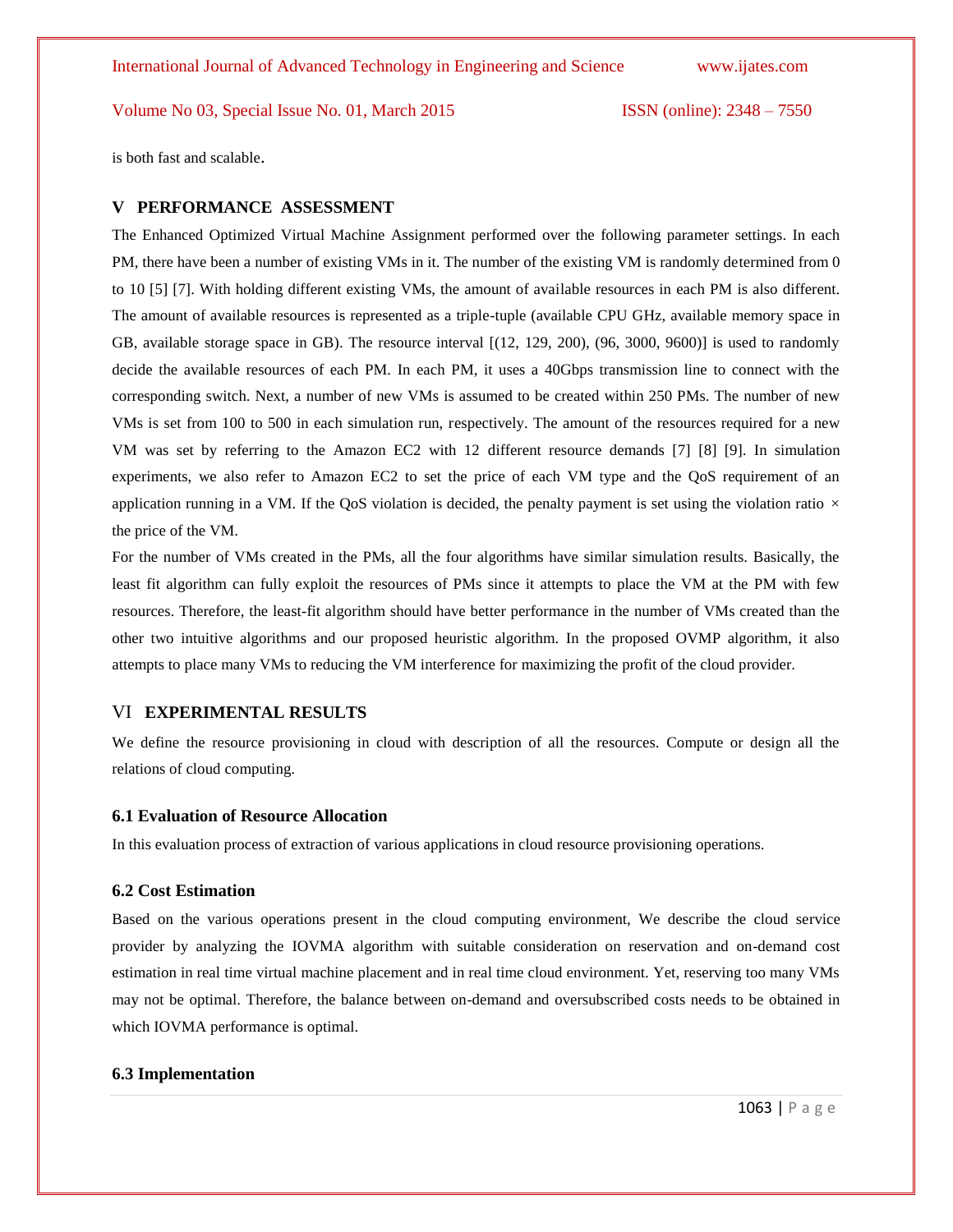is both fast and scalable.

### **V PERFORMANCE ASSESSMENT**

The Enhanced Optimized Virtual Machine Assignment performed over the following parameter settings. In each PM, there have been a number of existing VMs in it. The number of the existing VM is randomly determined from 0 to 10 [5] [7]. With holding different existing VMs, the amount of available resources in each PM is also different. The amount of available resources is represented as a triple-tuple (available CPU GHz, available memory space in GB, available storage space in GB). The resource interval  $[(12, 129, 200), (96, 3000, 9600)]$  is used to randomly decide the available resources of each PM. In each PM, it uses a 40Gbps transmission line to connect with the corresponding switch. Next, a number of new VMs is assumed to be created within 250 PMs. The number of new VMs is set from 100 to 500 in each simulation run, respectively. The amount of the resources required for a new VM was set by referring to the Amazon EC2 with 12 different resource demands [7] [8] [9]. In simulation experiments, we also refer to Amazon EC2 to set the price of each VM type and the QoS requirement of an application running in a VM. If the QoS violation is decided, the penalty payment is set using the violation ratio *×* the price of the VM.

For the number of VMs created in the PMs, all the four algorithms have similar simulation results. Basically, the least fit algorithm can fully exploit the resources of PMs since it attempts to place the VM at the PM with few resources. Therefore, the least-fit algorithm should have better performance in the number of VMs created than the other two intuitive algorithms and our proposed heuristic algorithm. In the proposed OVMP algorithm, it also attempts to place many VMs to reducing the VM interference for maximizing the profit of the cloud provider.

### VI **EXPERIMENTAL RESULTS**

We define the resource provisioning in cloud with description of all the resources. Compute or design all the relations of cloud computing.

#### **6.1 Evaluation of Resource Allocation**

In this evaluation process of extraction of various applications in cloud resource provisioning operations.

#### **6.2 Cost Estimation**

Based on the various operations present in the cloud computing environment, We describe the cloud service provider by analyzing the IOVMA algorithm with suitable consideration on reservation and on-demand cost estimation in real time virtual machine placement and in real time cloud environment. Yet, reserving too many VMs may not be optimal. Therefore, the balance between on-demand and oversubscribed costs needs to be obtained in which IOVMA performance is optimal.

# **6.3 Implementation**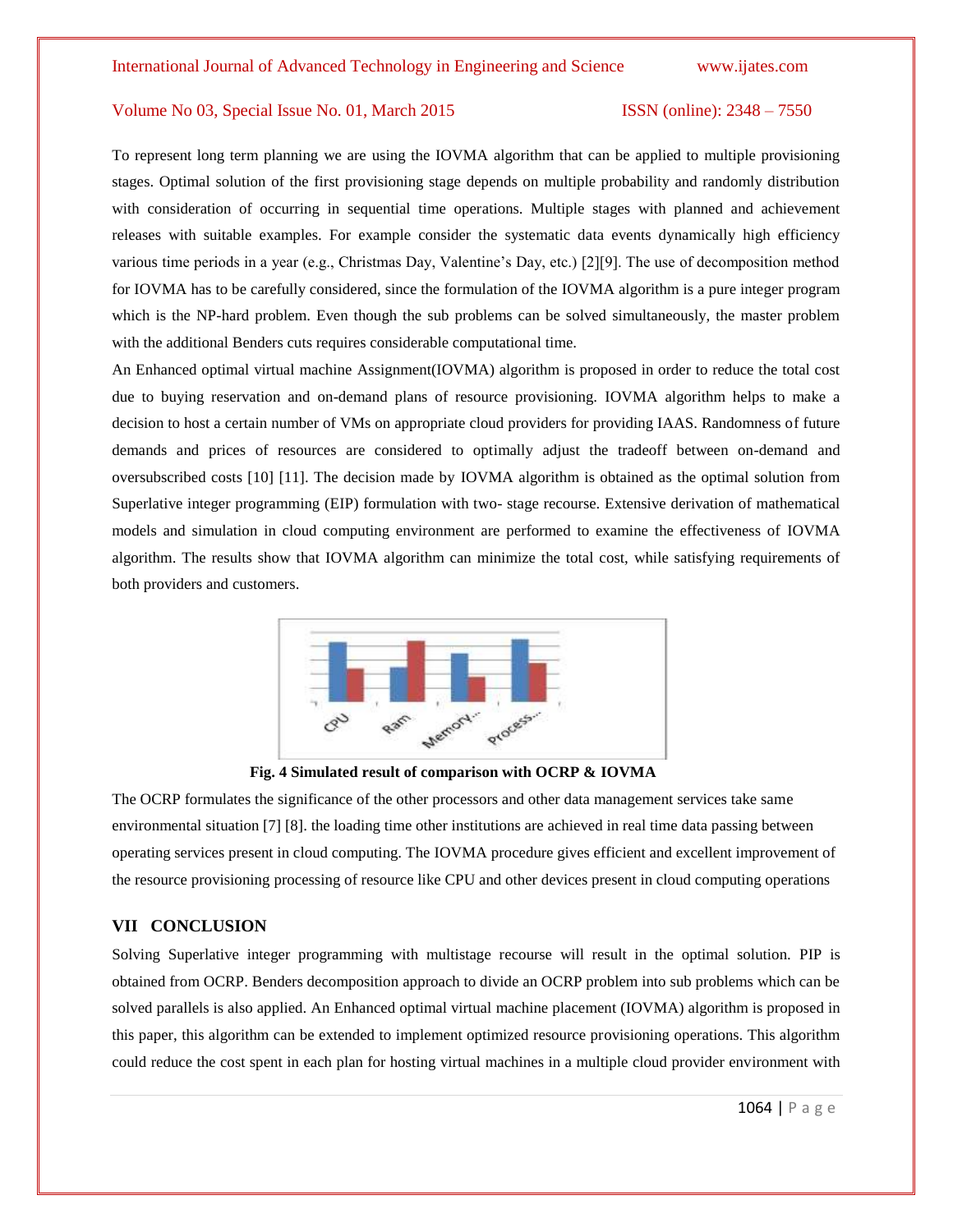To represent long term planning we are using the IOVMA algorithm that can be applied to multiple provisioning stages. Optimal solution of the first provisioning stage depends on multiple probability and randomly distribution with consideration of occurring in sequential time operations. Multiple stages with planned and achievement releases with suitable examples. For example consider the systematic data events dynamically high efficiency various time periods in a year (e.g., Christmas Day, Valentine"s Day, etc.) [2][9]. The use of decomposition method for IOVMA has to be carefully considered, since the formulation of the IOVMA algorithm is a pure integer program which is the NP-hard problem. Even though the sub problems can be solved simultaneously, the master problem with the additional Benders cuts requires considerable computational time.

An Enhanced optimal virtual machine Assignment(IOVMA) algorithm is proposed in order to reduce the total cost due to buying reservation and on-demand plans of resource provisioning. IOVMA algorithm helps to make a decision to host a certain number of VMs on appropriate cloud providers for providing IAAS. Randomness of future demands and prices of resources are considered to optimally adjust the tradeoff between on-demand and oversubscribed costs [10] [11]. The decision made by IOVMA algorithm is obtained as the optimal solution from Superlative integer programming (EIP) formulation with two- stage recourse. Extensive derivation of mathematical models and simulation in cloud computing environment are performed to examine the effectiveness of IOVMA algorithm. The results show that IOVMA algorithm can minimize the total cost, while satisfying requirements of both providers and customers.



**Fig. 4 Simulated result of comparison with OCRP & IOVMA**

The OCRP formulates the significance of the other processors and other data management services take same environmental situation [7] [8]. the loading time other institutions are achieved in real time data passing between operating services present in cloud computing. The IOVMA procedure gives efficient and excellent improvement of the resource provisioning processing of resource like CPU and other devices present in cloud computing operations

### **VII CONCLUSION**

Solving Superlative integer programming with multistage recourse will result in the optimal solution. PIP is obtained from OCRP. Benders decomposition approach to divide an OCRP problem into sub problems which can be solved parallels is also applied. An Enhanced optimal virtual machine placement (IOVMA) algorithm is proposed in this paper, this algorithm can be extended to implement optimized resource provisioning operations. This algorithm could reduce the cost spent in each plan for hosting virtual machines in a multiple cloud provider environment with